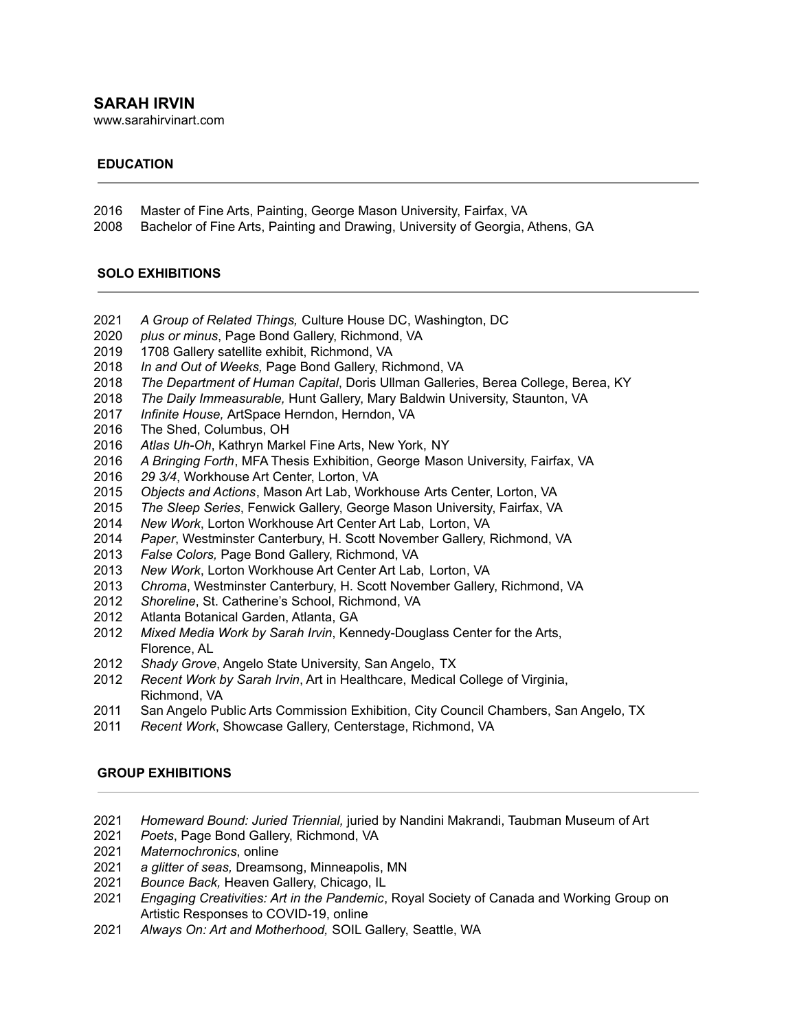## **SARAH IRVIN**

www.sarahirvinart.com

### **EDUCATION**

- Master of Fine Arts, Painting, George Mason University, Fairfax, VA
- Bachelor of Fine Arts, Painting and Drawing, University of Georgia, Athens, GA

#### **SOLO EXHIBITIONS**

- *A Group of Related Things,* Culture House DC, Washington, DC
- *plus or minus*, Page Bond Gallery, Richmond, VA
- 1708 Gallery satellite exhibit, Richmond, VA
- *In and Out of Weeks,* Page Bond Gallery, Richmond, VA
- *The Department of Human Capital*, Doris Ullman Galleries, Berea College, Berea, KY
- *The Daily Immeasurable,* Hunt Gallery, Mary Baldwin University, Staunton, VA
- *Infinite House,* ArtSpace Herndon, Herndon, VA
- The Shed, Columbus, OH
- *Atlas Uh-Oh*, Kathryn Markel Fine Arts, New York, NY
- *A Bringing Forth*, MFA Thesis Exhibition, George Mason University, Fairfax, VA
- *29 3/4*, Workhouse Art Center, Lorton, VA
- *Objects and Actions*, Mason Art Lab, Workhouse Arts Center, Lorton, VA
- *The Sleep Series*, Fenwick Gallery, George Mason University, Fairfax, VA
- *New Work*, Lorton Workhouse Art Center Art Lab, Lorton, VA
- *Paper*, Westminster Canterbury, H. Scott November Gallery, Richmond, VA
- *False Colors,* Page Bond Gallery, Richmond, VA
- *New Work*, Lorton Workhouse Art Center Art Lab, Lorton, VA
- *Chroma*, Westminster Canterbury, H. Scott November Gallery, Richmond, VA
- *Shoreline*, St. Catherine's School, Richmond, VA
- Atlanta Botanical Garden, Atlanta, GA
- *Mixed Media Work by Sarah Irvin*, Kennedy-Douglass Center for the Arts, Florence, AL
- *Shady Grove*, Angelo State University, San Angelo, TX
- *Recent Work by Sarah Irvin*, Art in Healthcare, Medical College of Virginia, Richmond, VA
- San Angelo Public Arts Commission Exhibition, City Council Chambers, San Angelo, TX
- *Recent Work*, Showcase Gallery, Centerstage, Richmond, VA

### **GROUP EXHIBITIONS**

- *Homeward Bound: Juried Triennial,* juried by Nandini Makrandi, Taubman Museum of Art
- *Poets*, Page Bond Gallery, Richmond, VA
- *Maternochronics*, online
- *a glitter of seas,* Dreamsong, Minneapolis, MN
- *Bounce Back,* Heaven Gallery, Chicago, IL
- *Engaging Creativities: Art in the Pandemic*, Royal Society of Canada and Working Group on Artistic Responses to COVID-19, online
- *Always On: Art and Motherhood,* SOIL Gallery, Seattle, WA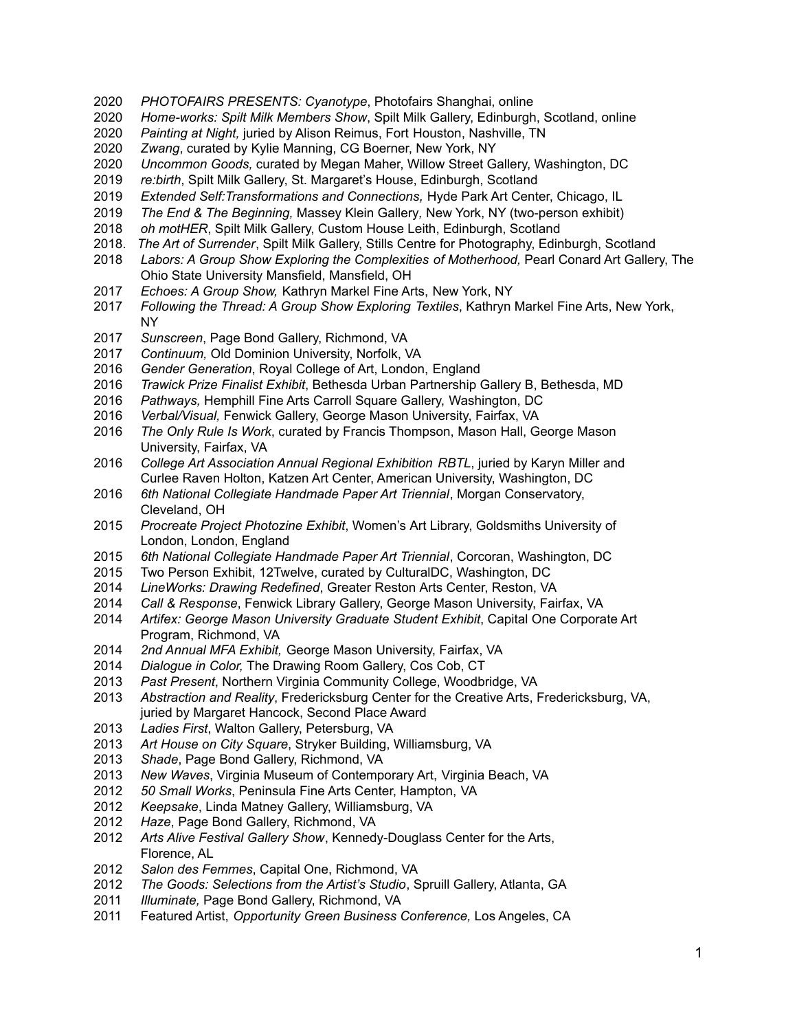- *PHOTOFAIRS PRESENTS: Cyanotype*, Photofairs Shanghai, online
- *Home-works: Spilt Milk Members Show*, Spilt Milk Gallery, Edinburgh, Scotland, online
- *Painting at Night,* juried by Alison Reimus, Fort Houston, Nashville, TN
- *Zwang*, curated by Kylie Manning, CG Boerner, New York, NY
- *Uncommon Goods,* curated by Megan Maher, Willow Street Gallery, Washington, DC
- *re:birth*, Spilt Milk Gallery, St. Margaret's House, Edinburgh, Scotland
- *Extended Self:Transformations and Connections,* Hyde Park Art Center, Chicago, IL
- *The End & The Beginning,* Massey Klein Gallery*,* New York, NY (two-person exhibit)
- *oh motHER*, Spilt Milk Gallery, Custom House Leith, Edinburgh, Scotland
- 2018. *The Art of Surrender*, Spilt Milk Gallery, Stills Centre for Photography, Edinburgh, Scotland
- *Labors: A Group Show Exploring the Complexities of Motherhood,* Pearl Conard Art Gallery, The Ohio State University Mansfield, Mansfield, OH
- *Echoes: A Group Show,* Kathryn Markel Fine Arts, New York, NY
- *Following the Thread: A Group Show Exploring Textiles*, Kathryn Markel Fine Arts, New York, NY
- *Sunscreen*, Page Bond Gallery, Richmond, VA
- *Continuum,* Old Dominion University, Norfolk, VA
- *Gender Generation*, Royal College of Art, London, England
- *Trawick Prize Finalist Exhibit*, Bethesda Urban Partnership Gallery B, Bethesda, MD
- *Pathways,* Hemphill Fine Arts Carroll Square Gallery, Washington, DC
- *Verbal/Visual,* Fenwick Gallery, George Mason University, Fairfax, VA
- *The Only Rule Is Work*, curated by Francis Thompson, Mason Hall, George Mason University, Fairfax, VA
- *College Art Association Annual Regional Exhibition RBTL*, juried by Karyn Miller and Curlee Raven Holton, Katzen Art Center, American University, Washington, DC
- *6th National Collegiate Handmade Paper Art Triennial*, Morgan Conservatory, Cleveland, OH
- *Procreate Project Photozine Exhibit*, Women's Art Library, Goldsmiths University of London, London, England
- *6th National Collegiate Handmade Paper Art Triennial*, Corcoran, Washington, DC
- Two Person Exhibit, 12Twelve, curated by CulturalDC, Washington, DC
- *LineWorks: Drawing Redefined*, Greater Reston Arts Center, Reston, VA
- *Call & Response*, Fenwick Library Gallery, George Mason University, Fairfax, VA
- *Artifex: George Mason University Graduate Student Exhibit*, Capital One Corporate Art Program, Richmond, VA
- *2nd Annual MFA Exhibit,* George Mason University, Fairfax, VA
- *Dialogue in Color,* The Drawing Room Gallery, Cos Cob, CT
- *Past Present*, Northern Virginia Community College, Woodbridge, VA
- *Abstraction and Reality*, Fredericksburg Center for the Creative Arts, Fredericksburg, VA, juried by Margaret Hancock, Second Place Award
- *Ladies First*, Walton Gallery, Petersburg, VA
- *Art House on City Square*, Stryker Building, Williamsburg, VA
- *Shade*, Page Bond Gallery, Richmond, VA
- *New Waves*, Virginia Museum of Contemporary Art, Virginia Beach, VA
- *50 Small Works*, Peninsula Fine Arts Center, Hampton, VA
- *Keepsake*, Linda Matney Gallery, Williamsburg, VA
- *Haze*, Page Bond Gallery, Richmond, VA
- *Arts Alive Festival Gallery Show*, Kennedy-Douglass Center for the Arts, Florence, AL
- *Salon des Femmes*, Capital One, Richmond, VA
- *The Goods: Selections from the Artist's Studio*, Spruill Gallery, Atlanta, GA
- *Illuminate,* Page Bond Gallery, Richmond, VA
- Featured Artist, *Opportunity Green Business Conference,* Los Angeles, CA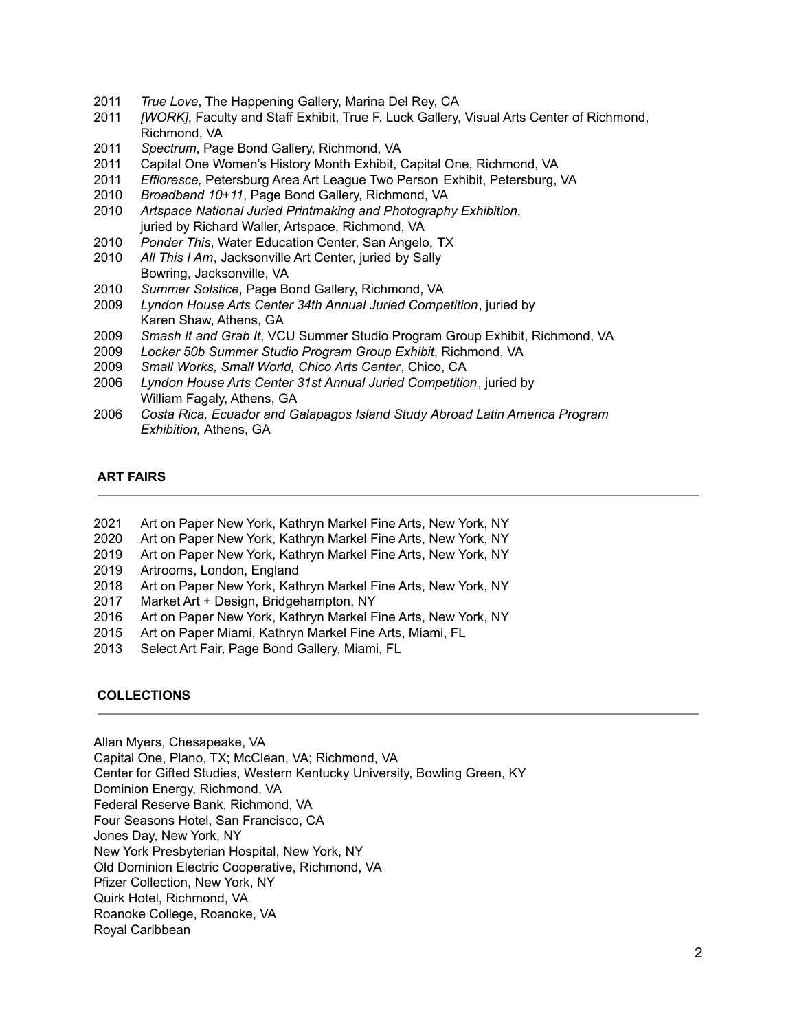- 2011 *True Love*, The Happening Gallery, Marina Del Rey, CA
- 2011 *[WORK]*, Faculty and Staff Exhibit, True F. Luck Gallery, Visual Arts Center of Richmond, Richmond, VA
- 2011 *Spectrum*, Page Bond Gallery, Richmond, VA
- 2011 Capital One Women's History Month Exhibit, Capital One, Richmond, VA
- 2011 *Effloresce,* Petersburg Area Art League Two Person Exhibit, Petersburg, VA
- 2010 *Broadband 10+11*, Page Bond Gallery, Richmond, VA
- 2010 *Artspace National Juried Printmaking and Photography Exhibition*, juried by Richard Waller, Artspace, Richmond, VA
- 2010 *Ponder This*, Water Education Center, San Angelo, TX
- 2010 *All This I Am*, Jacksonville Art Center, juried by Sally Bowring, Jacksonville, VA
- 2010 *Summer Solstice*, Page Bond Gallery, Richmond, VA
- 2009 *Lyndon House Arts Center 34th Annual Juried Competition*, juried by Karen Shaw, Athens, GA
- 2009 *Smash It and Grab It*, VCU Summer Studio Program Group Exhibit, Richmond, VA
- 2009 *Locker 50b Summer Studio Program Group Exhibit*, Richmond, VA
- 2009 *Small Works, Small World, Chico Arts Center*, Chico, CA
- 2006 *Lyndon House Arts Center 31st Annual Juried Competition*, juried by William Fagaly, Athens, GA
- 2006 *Costa Rica, Ecuador and Galapagos Island Study Abroad Latin America Program Exhibition,* Athens, GA

## **ART FAIRS**

- 2021 Art on Paper New York, Kathryn Markel Fine Arts, New York, NY
- 2020 Art on Paper New York, Kathryn Markel Fine Arts, New York, NY
- 2019 Art on Paper New York, Kathryn Markel Fine Arts, New York, NY
- 2019 Artrooms, London, England
- 2018 Art on Paper New York, Kathryn Markel Fine Arts, New York, NY
- 2017 Market Art + Design, Bridgehampton, NY
- 2016 Art on Paper New York, Kathryn Markel Fine Arts, New York, NY
- 2015 Art on Paper Miami, Kathryn Markel Fine Arts, Miami, FL
- 2013 Select Art Fair, Page Bond Gallery, Miami, FL

# **COLLECTIONS**

Allan Myers, Chesapeake, VA

Capital One, Plano, TX; McClean, VA; Richmond, VA

Center for Gifted Studies, Western Kentucky University, Bowling Green, KY

Dominion Energy, Richmond, VA

Federal Reserve Bank, Richmond, VA

Four Seasons Hotel, San Francisco, CA

Jones Day, New York, NY

New York Presbyterian Hospital, New York, NY

Old Dominion Electric Cooperative, Richmond, VA

Pfizer Collection, New York, NY

Quirk Hotel, Richmond, VA

Roanoke College, Roanoke, VA

Royal Caribbean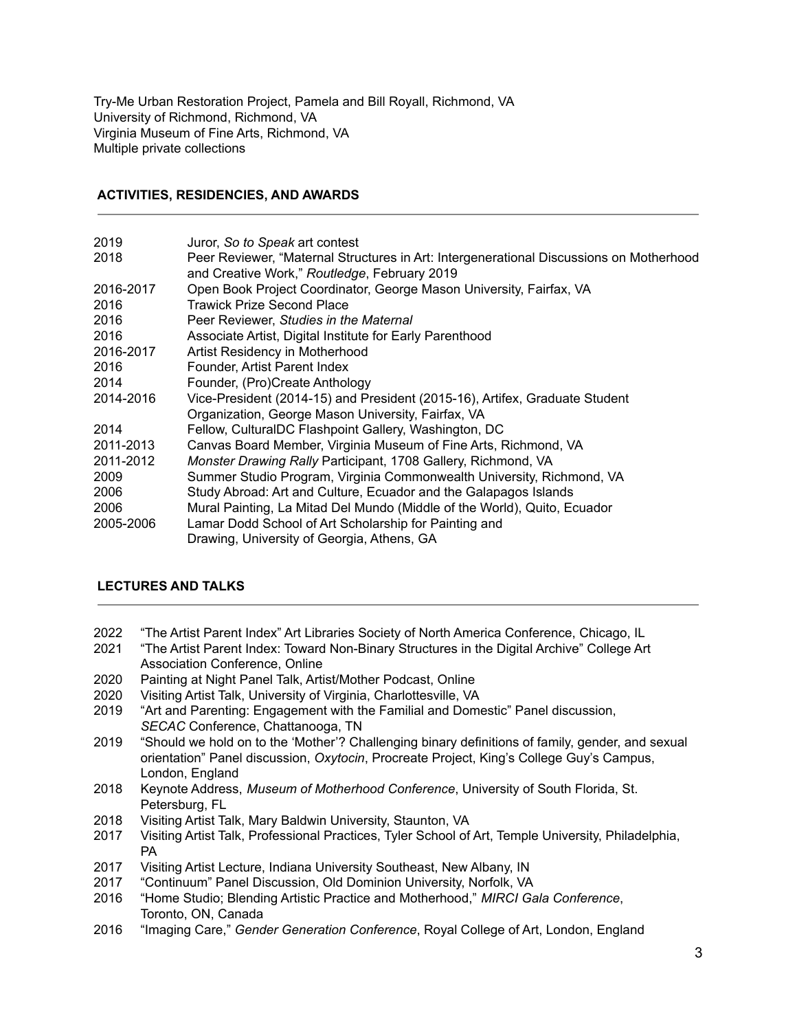Try-Me Urban Restoration Project, Pamela and Bill Royall, Richmond, VA University of Richmond, Richmond, VA Virginia Museum of Fine Arts, Richmond, VA Multiple private collections

## **ACTIVITIES, RESIDENCIES, AND AWARDS**

| 2019      | Juror, So to Speak art contest                                                          |
|-----------|-----------------------------------------------------------------------------------------|
| 2018      | Peer Reviewer, "Maternal Structures in Art: Intergenerational Discussions on Motherhood |
|           | and Creative Work," Routledge, February 2019                                            |
| 2016-2017 | Open Book Project Coordinator, George Mason University, Fairfax, VA                     |
| 2016      | <b>Trawick Prize Second Place</b>                                                       |
| 2016      | Peer Reviewer, Studies in the Maternal                                                  |
| 2016      | Associate Artist, Digital Institute for Early Parenthood                                |
| 2016-2017 | Artist Residency in Motherhood                                                          |
| 2016      | Founder, Artist Parent Index                                                            |
| 2014      | Founder, (Pro)Create Anthology                                                          |
| 2014-2016 | Vice-President (2014-15) and President (2015-16), Artifex, Graduate Student             |
|           | Organization, George Mason University, Fairfax, VA                                      |
| 2014      | Fellow, CulturalDC Flashpoint Gallery, Washington, DC                                   |
| 2011-2013 | Canvas Board Member, Virginia Museum of Fine Arts, Richmond, VA                         |
| 2011-2012 | Monster Drawing Rally Participant, 1708 Gallery, Richmond, VA                           |
| 2009      | Summer Studio Program, Virginia Commonwealth University, Richmond, VA                   |
| 2006      | Study Abroad: Art and Culture, Ecuador and the Galapagos Islands                        |
| 2006      | Mural Painting, La Mitad Del Mundo (Middle of the World), Quito, Ecuador                |
| 2005-2006 | Lamar Dodd School of Art Scholarship for Painting and                                   |
|           | Drawing, University of Georgia, Athens, GA                                              |

### **LECTURES AND TALKS**

- 2022 "The Artist Parent Index" Art Libraries Society of North America Conference, Chicago, IL
- 2021 "The Artist Parent Index: Toward Non-Binary Structures in the Digital Archive" College Art Association Conference, Online
- 2020 Painting at Night Panel Talk, Artist/Mother Podcast, Online
- 2020 Visiting Artist Talk, University of Virginia, Charlottesville, VA
- 2019 "Art and Parenting: Engagement with the Familial and Domestic" Panel discussion, *SECAC* Conference, Chattanooga, TN
- 2019 "Should we hold on to the 'Mother'? Challenging binary definitions of family, gender, and sexual orientation" Panel discussion, *Oxytocin*, Procreate Project, King's College Guy's Campus, London, England
- 2018 Keynote Address, *Museum of Motherhood Conference*, University of South Florida, St. Petersburg, FL
- 2018 Visiting Artist Talk, Mary Baldwin University, Staunton, VA
- 2017 Visiting Artist Talk, Professional Practices, Tyler School of Art, Temple University, Philadelphia, PA
- 2017 Visiting Artist Lecture, Indiana University Southeast, New Albany, IN
- 2017 "Continuum" Panel Discussion, Old Dominion University, Norfolk, VA
- 2016 "Home Studio; Blending Artistic Practice and Motherhood," *MIRCI Gala Conference*, Toronto, ON, Canada
- 2016 "Imaging Care," *Gender Generation Conference*, Royal College of Art, London, England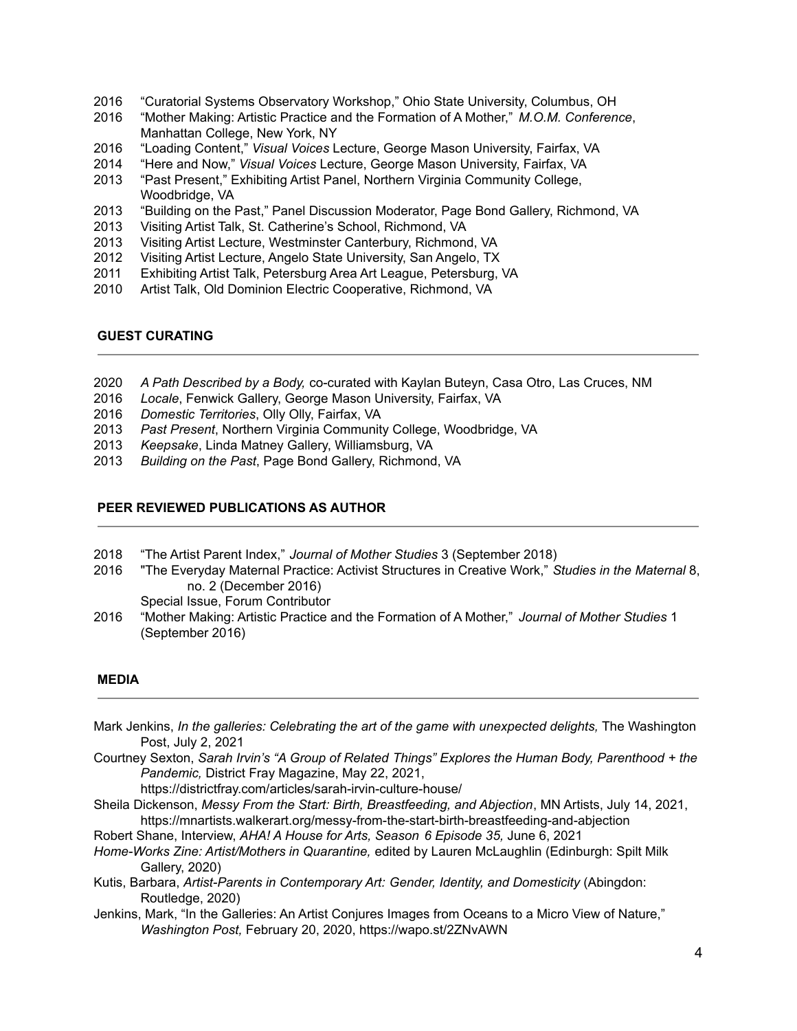- 2016 "Curatorial Systems Observatory Workshop," Ohio State University, Columbus, OH
- 2016 "Mother Making: Artistic Practice and the Formation of A Mother," *M.O.M. Conference*, Manhattan College, New York, NY
- 2016 "Loading Content," *Visual Voices* Lecture, George Mason University, Fairfax, VA
- 2014 "Here and Now," *Visual Voices* Lecture, George Mason University, Fairfax, VA
- 2013 "Past Present," Exhibiting Artist Panel, Northern Virginia Community College, Woodbridge, VA
- 2013 "Building on the Past," Panel Discussion Moderator, Page Bond Gallery, Richmond, VA
- 2013 Visiting Artist Talk, St. Catherine's School, Richmond, VA
- 2013 Visiting Artist Lecture, Westminster Canterbury, Richmond, VA
- 2012 Visiting Artist Lecture, Angelo State University, San Angelo, TX
- 2011 Exhibiting Artist Talk, Petersburg Area Art League, Petersburg, VA
- 2010 Artist Talk, Old Dominion Electric Cooperative, Richmond, VA

#### **GUEST CURATING**

- 2020 *A Path Described by a Body,* co-curated with Kaylan Buteyn, Casa Otro, Las Cruces, NM
- 2016 *Locale*, Fenwick Gallery, George Mason University, Fairfax, VA
- 2016 *Domestic Territories*, Olly Olly, Fairfax, VA
- 2013 *Past Present*, Northern Virginia Community College, Woodbridge, VA
- 2013 *Keepsake*, Linda Matney Gallery, Williamsburg, VA
- 2013 *Building on the Past*, Page Bond Gallery, Richmond, VA

### **PEER REVIEWED PUBLICATIONS AS AUTHOR**

- 2018 "The Artist Parent Index," *Journal of Mother Studies* 3 (September 2018)
- 2016 "The Everyday Maternal Practice: Activist Structures in Creative Work," *Studies in the Maternal* 8, no. 2 (December 2016)

Special Issue, Forum Contributor

2016 "Mother Making: Artistic Practice and the Formation of A Mother," *Journal of Mother Studies* 1 (September 2016)

#### **MEDIA**

- Mark Jenkins, *In the galleries: Celebrating the art of the game with unexpected delights,* The Washington Post, July 2, 2021
- Courtney Sexton, *Sarah Irvin's "A Group of Related Things" Explores the Human Body, Parenthood + the Pandemic,* District Fray Magazine, May 22, 2021,

https://districtfray.com/articles/sarah-irvin-culture-house/

Sheila Dickenson, *Messy From the Start: Birth, Breastfeeding, and Abjection*, MN Artists, July 14, 2021, https://mnartists.walkerart.org/messy-from-the-start-birth-breastfeeding-and-abjection

Robert Shane, Interview, *AHA! A House for Arts, Season 6 Episode 35,* June 6, 2021

- *Home-Works Zine: Artist/Mothers in Quarantine,* edited by Lauren McLaughlin (Edinburgh: Spilt Milk Gallery, 2020)
- Kutis, Barbara, *Artist-Parents in Contemporary Art: Gender, Identity, and Domesticity* (Abingdon: Routledge, 2020)
- Jenkins, Mark, "In the Galleries: An Artist Conjures Images from Oceans to a Micro View of Nature," *Washington Post,* February 20, 2020, https://wapo.st/2ZNvAWN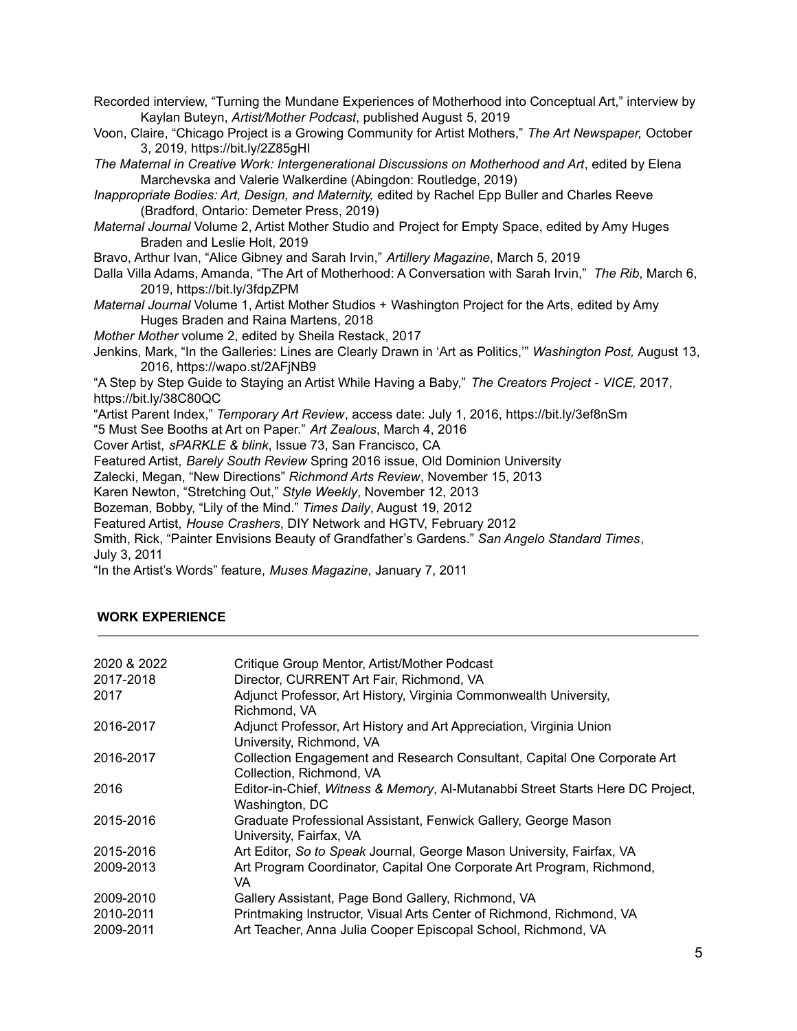Recorded interview, "Turning the Mundane Experiences of Motherhood into Conceptual Art," interview by Kaylan Buteyn, *Artist/Mother Podcast*, published August 5, 2019 Voon, Claire, "Chicago Project is a Growing Community for Artist Mothers," *The Art Newspaper,* October 3, 2019, https://bit.ly/2Z85gHI *The Maternal in Creative Work: Intergenerational Discussions on Motherhood and Art*, edited by Elena Marchevska and Valerie Walkerdine (Abingdon: Routledge, 2019) *Inappropriate Bodies: Art, Design, and Maternity,* edited by Rachel Epp Buller and Charles Reeve (Bradford, Ontario: Demeter Press, 2019) *Maternal Journal* Volume 2, Artist Mother Studio and Project for Empty Space, edited by Amy Huges Braden and Leslie Holt, 2019 Bravo, Arthur Ivan, "Alice Gibney and Sarah Irvin," *Artillery Magazine*, March 5, 2019 Dalla Villa Adams, Amanda, "The Art of Motherhood: A Conversation with Sarah Irvin," *The Rib*, March 6, 2019, https://bit.ly/3fdpZPM *Maternal Journal* Volume 1, Artist Mother Studios + Washington Project for the Arts, edited by Amy Huges Braden and Raina Martens, 2018 *Mother Mother* volume 2, edited by Sheila Restack, 2017 Jenkins, Mark, "In the Galleries: Lines are Clearly Drawn in 'Art as Politics,'" *Washington Post,* August 13, 2016, https://wapo.st/2AFjNB9 "A Step by Step Guide to Staying an Artist While Having a Baby," *The Creators Project - VICE,* 2017, https://bit.ly/38C80QC "Artist Parent Index," *Temporary Art Review*, access date: July 1, 2016, https://bit.ly/3ef8nSm "5 Must See Booths at Art on Paper." *Art Zealous*, March 4, 2016 Cover Artist, *sPARKLE & blink*, Issue 73, San Francisco, CA Featured Artist, *Barely South Review* Spring 2016 issue, Old Dominion University Zalecki, Megan, "New Directions" *Richmond Arts Review*, November 15, 2013 Karen Newton, "Stretching Out," *Style Weekly*, November 12, 2013 Bozeman, Bobby, "Lily of the Mind." *Times Daily*, August 19, 2012 Featured Artist, *House Crashers*, DIY Network and HGTV, February 2012 Smith, Rick, "Painter Envisions Beauty of Grandfather's Gardens." *San Angelo Standard Times*, July 3, 2011 "In the Artist's Words" feature, *Muses Magazine*, January 7, 2011

# **WORK EXPERIENCE**

| 2020 & 2022<br>2017-2018 | Critique Group Mentor, Artist/Mother Podcast<br>Director, CURRENT Art Fair, Richmond, VA             |
|--------------------------|------------------------------------------------------------------------------------------------------|
| 2017                     | Adjunct Professor, Art History, Virginia Commonwealth University,<br>Richmond, VA                    |
| 2016-2017                | Adjunct Professor, Art History and Art Appreciation, Virginia Union<br>University, Richmond, VA      |
| 2016-2017                | Collection Engagement and Research Consultant, Capital One Corporate Art<br>Collection, Richmond, VA |
| 2016                     | Editor-in-Chief, Witness & Memory, Al-Mutanabbi Street Starts Here DC Project,<br>Washington, DC     |
| 2015-2016                | Graduate Professional Assistant, Fenwick Gallery, George Mason<br>University, Fairfax, VA            |
| 2015-2016                | Art Editor, So to Speak Journal, George Mason University, Fairfax, VA                                |
| 2009-2013                | Art Program Coordinator, Capital One Corporate Art Program, Richmond,<br>VA.                         |
| 2009-2010                | Gallery Assistant, Page Bond Gallery, Richmond, VA                                                   |
| 2010-2011                | Printmaking Instructor, Visual Arts Center of Richmond, Richmond, VA                                 |
| 2009-2011                | Art Teacher, Anna Julia Cooper Episcopal School, Richmond, VA                                        |